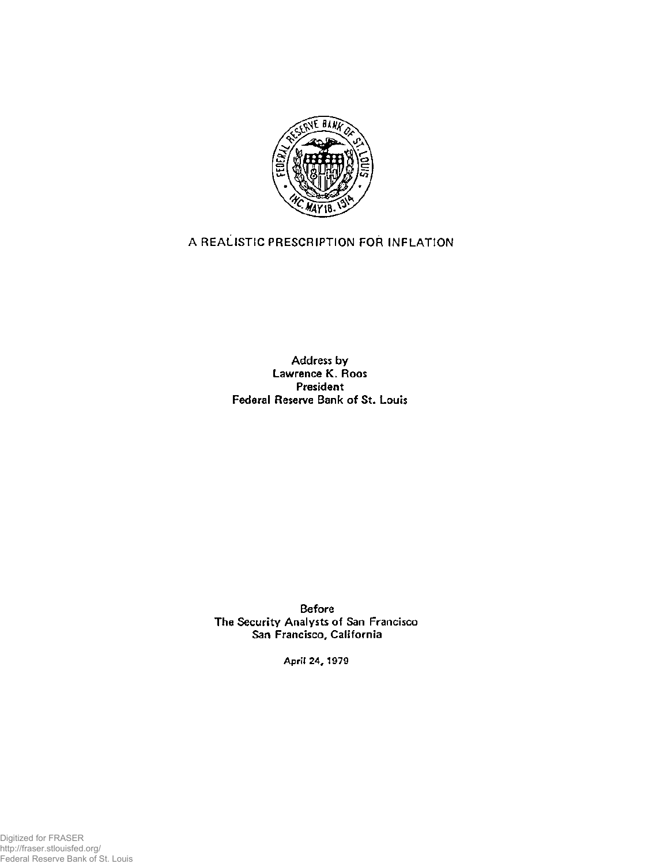

## **A REALISTIC PRESCRIPTION FOR INFLATION**

**Address by Lawrence K. Roos President Federal Reserve Bank of St. Louis** 

**Before The Security Analysts of San Francisco San Francisco, California** 

**April 24, 1979** 

Digitized for FRASER http://fraser.stlouisfed.org/ Federal Reserve Bank of St. Louis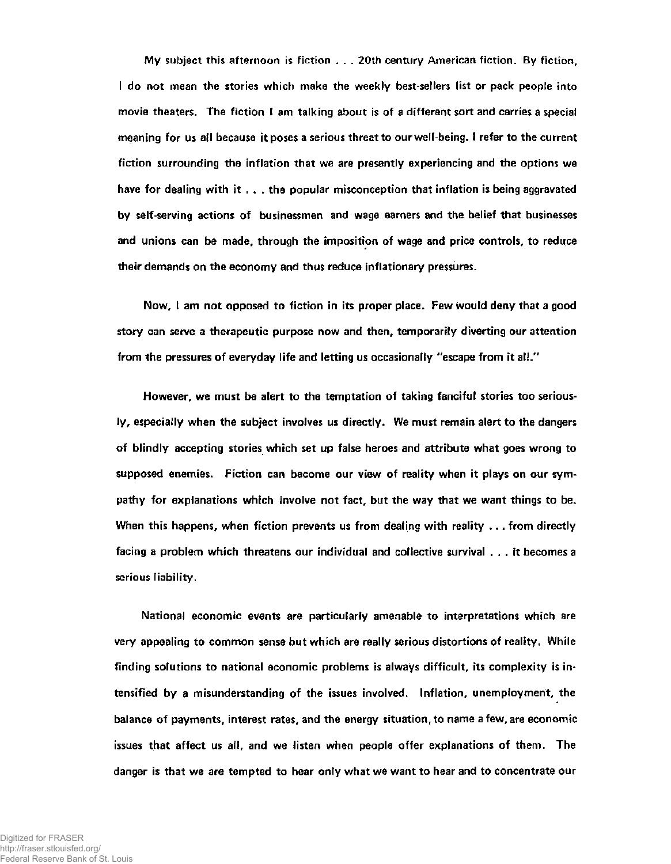**My subject this afternoon is fiction . . . 20th century American fiction. By fiction, I do not mean the stories which make the weekly best-sellers list or pack people into movie theaters. The fiction I am talking about is of a different sort and carries a specialmeaning for us all because it poses a serious threat to our well-being. I refer to the current fiction surrounding the inflation that we are presently experiencing and the options we have for dealing with it . . . the popular misconception that inflation is being aggravated by self-serving actions of businessmen and wage earners and the belief that businesses and unions can be made, through the imposition of wage and price controls, to reduce their demands on the economy and thus reduce inflationary pressures.** 

**Now, I am not opposed to fiction in its proper place. Few would deny that a good story can serve a therapeutic purpose now and then, temporarily diverting our attention from the pressures of everyday life and letting us occasionally "escape from it all."** 

**However, we must be alert to the temptation of taking fanciful stories too seriously, especially when the subject involves us directly. We must remain alert to the dangers of blindly accepting stories which set up false heroes and attribute what goes wrong to supposed enemies. Fiction can become our view of reality when it plays on our sympathy for explanations which involve not fact, but the way that we want things to be. When this happens, when fiction prevents us from dealing with reality ... from directly facing a problem which threatens our individual and collective survival .. . it becomes a serious liability.** 

**National economic events are particularly amenable to interpretations which are very appealing to common sense but which are really serious distortions of reality. While finding solutions to national economic problems is always difficult, its complexity is intensified by a misunderstanding of the issues involved. Inflation, unemployment, the balance of payments, interest rates, and the energy situation, to name a few, are economic issues that affect us all, and we listen when people offer explanations of them. The danger is that we are tempted to hear only what we want to hear and to concentrate our**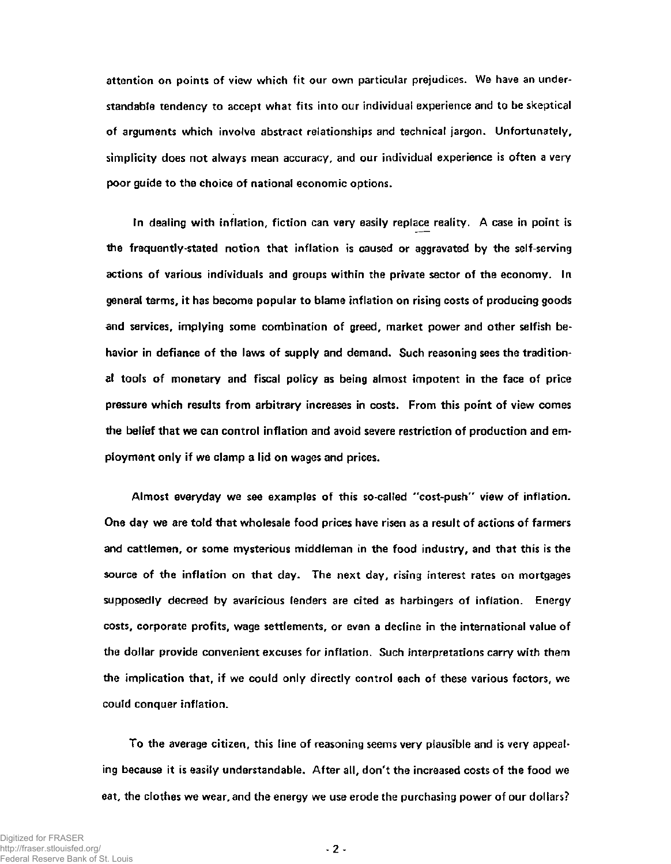**attention on points of view which fit our own particular prejudices. We have an understandable tendency to accept what fits into our individual experience and to be skeptical of arguments which involve abstract relationships and technical jargon. Unfortunately, simplicity does not always mean accuracy, and our individual experience is often a very poor guide to the choice of national economic options.** 

**In dealing with inflation, fiction can very easily replace reality. A case in point is the frequently-stated notion that inflation is caused or aggravated by the self-serving actions of various individuals and groups within the private sector of the economy. In general terms, it has become popular to blame inflation on rising costs of producing goods and services, implying some combination of greed, market power and other selfish behavior in defiance of the laws of supply and demand. Such reasoning sees the traditional tools of monetary and fiscal policy as being almost impotent in the face of price pressure which results from arbitrary increases in costs. From this point of view comes the belief that we can control inflation and avoid severe restriction of production and em**ployment only if we clamp a lid on wages and prices.

**Almost everyday we see examples of this so-called "cost-push" view of inflation. One day we are told that wholesale food prices have risen as a result of actions of farmers and cattlemen, or some mysterious middleman in the food industry, and that this is the source of the inflation on that day. The next day, rising interest rates on mortgages supposedly decreed by avaricious lenders are cited as harbingers of inflation. Energy costs, corporate profits, wage settlements, or even a decline in the international value of the dollar provide convenient excuses for inflation. Such interpretations carry with them the implication that, if we could only directly control each of these various factors, we could conquer inflation.** 

**To the average citizen, this line of reasoning seems very plausible and is very appealing because it is easily understandable. After all, don't the increased costs of the food we eat, the clothes we wear, and the energy we use erode the purchasing power of our dollars?**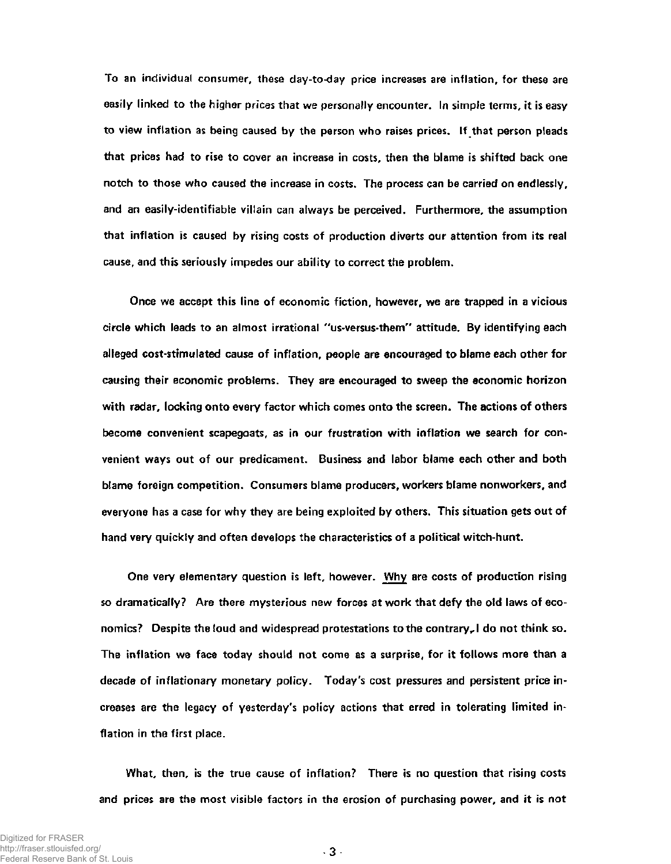**To an individual consumer, these day-to-day price increases are inflation, for these are easily linked to the higher prices that we personally encounter. In simple terms, it is easy to view inflation as being caused by the person who raises prices. If that person pleads that prices had to rise to cover an increase in costs, then the blame is shifted back one notch to those who caused the increase in costs. The process can be carried on endlessly, and an easily-identifiable villain can always be perceived. Furthermore, the assumption that inflation is caused by rising costs of production diverts our attention from its real cause, and this seriously impedes our ability to correct the problem.** 

**Once we accept this line of economic fiction, however, we are trapped in a vicious circle which leads to an almost irrational "us-versus-them" attitude. By identifying each alleged cost-stimulated cause of inflation, people are encouraged to blame each other for causing their economic problems. They are encouraged to sweep the economic horizon with radar, locking onto every factor which comes onto the screen. The actions of others become convenient scapegoats, as in our frustration with inflation we search for convenient ways out of our predicament. Business and labor blame each other and both blame foreign competition. Consumers blame producers, workers blame nonworkers, and everyone has a case for why they are being exploited by others. This situation gets out of hand very quickly and often develops the characteristics of a political witch-hunt.** 

**One very elementary question is left, however. Why are costs of production rising so dramatically? Are there mysterious new forces at work that defy the old laws of economics? Despite the loud and widespread protestations to the contraryr I do not think so. The inflation we face today should not come as a surprise, for it follows more than a decade of inflationary monetary policy. Today's cost pressures and persistent price increases are the legacy of yesterday's policy actions that erred in tolerating limited inflation in the first place.** 

**What, then, is the true cause of inflation? There is no question that rising costs and prices are the most visible factors in the erosion of purchasing power, and it is not**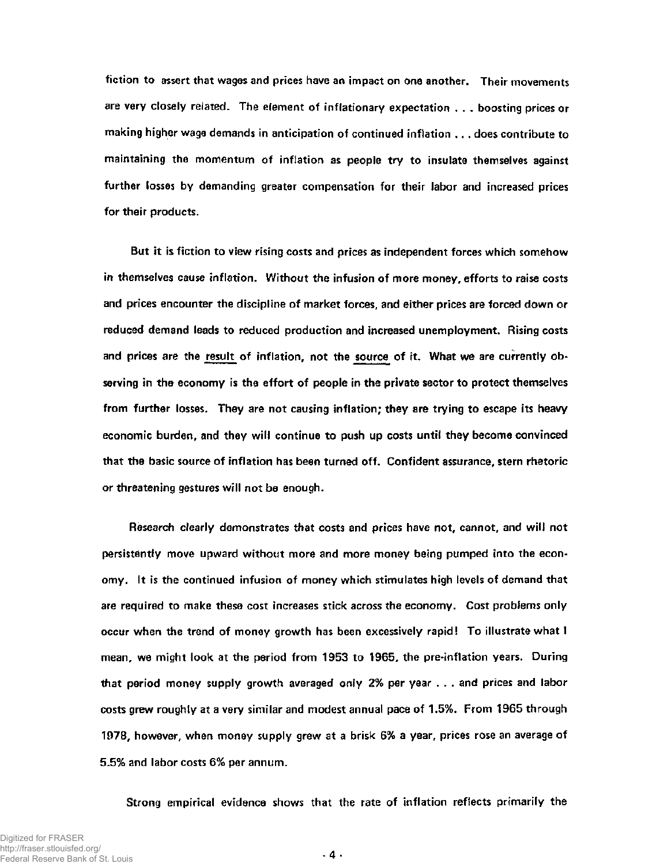**fiction to assert that wages and prices have an impact on one another. Their movements are very closely related. The element of inflationary expectation . . . boosting prices or making higher wage demands in anticipation of continued inflation . . . does contribute to maintaining the momentum of inflation as people try to insulate themselves against further losses by demanding greater compensation for their labor and increased prices for their products.** 

**But it is fiction to view rising costs and prices as independent forces which somehow in themselves cause inflation. Without the infusion of more money, efforts to raise costs and prices encounter the discipline of market forces, and either prices are forced down or reduced demand leads to reduced production and increased unemployment. Rising costs and prices are the result of inflation, not the source of it. What we are currently observing in the economy is the effort of people in the private sector to protect themselves from further losses. They are not causing inflation; they are trying to escape its heavy economic burden, and they will continue to push up costs until they become convinced that the basic source of inflation has been turned off. Confident assurance, stern rhetoric or threatening gestures will not be enough.** 

**Research clearly demonstrates that costs and prices have not, cannot, and will not persistently move upward without more and more money being pumped into the economy. It is the continued infusion of money which stimulates high levels of demand that are required to make these cost increases stick across the economy. Cost problems only occur when the trend of money growth has been excessively rapid! To illustrate what I mean, we might look at the period from 1953 to 1965, the pre-inflation years. During that period money supply growth averaged only 2% per year . . . and prices and labor costs grew roughly at a very similar and modest annual pace of 1.5%. From 1965 through 1978, however, when money supply grew at a brisk 6% a year, prices rose an average of 5.5% and labor costs 6% per annum.** 

**Strong empirical evidence shows that the rate of inflation reflects primarily the** 

**- 4-**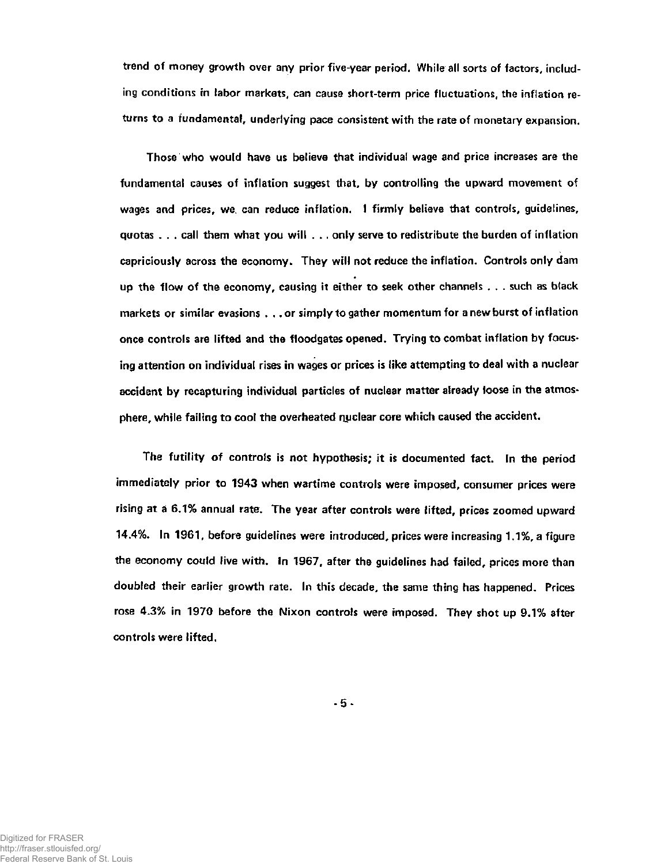**trend of money growth over any prior five-year period. While all sorts of factors, including conditions in labor markets, can cause short-term price fluctuations, the inflation returns to a fundamental, underlying pace consistent with the rate of monetary expansion.** 

**Those who would have us believe that individual wage and price increases are the fundamental causes of inflation suggest that, by controlling the upward movement of wages and prices, we can reduce inflation. I firmly believe that controls, guidelines, quotas . . . call them what you will . .. only serve to redistribute the burden of inflation capriciously across the economy. They will not reduce the inflation. Controls only dam up the flow of the economy, causing it either to seek other channels . . . such as black markets or similar evasions .. . or simply to gather momentum for a new burst of inflation once controls are lifted and the floodgates opened. Trying to combat inflation by focusing attention on individual rises in wages or prices is like attempting to deal with a nuclear accident by recapturing individual particles of nuclear matter already loose in the atmosphere, while failing to cool the overheated nuclear core which caused the accident.** 

**The futility of controls is not hypothesis; it is documented fact. In the period immediately prior to 1943 when wartime controls were imposed, consumer prices were rising at a 6.1% annual rate. The year after controls were lifted, prices zoomed upward 14.4%. In 1961, before guidelines were introduced, prices were increasing 1.1%, a figure the economy could live with. In 1967, after the guidelines had failed, prices more than doubled their earlier growth rate. In this decade, the same thing has happened. Prices rose 4.3% in 1970 before the Nixon controls were imposed. They shot up 9.1% after controls were lifted.** 

**- 5 -**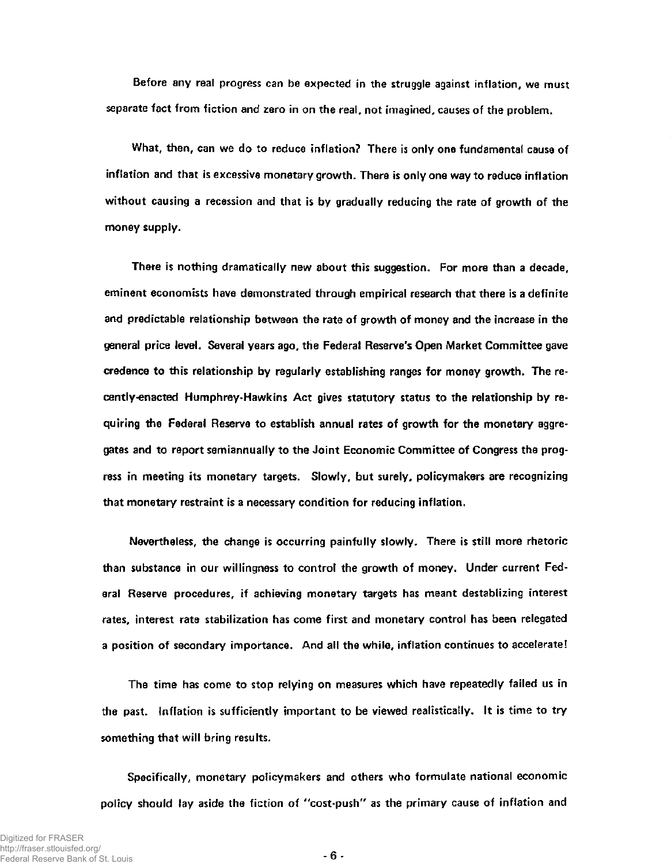**Before any real progress can be expected in the struggle against inflation, we must separate fact from fiction and zero in on the real, not imagined, causes of the problem.** 

**What, then, can we do to reduce inflation? There is only one fundamental cause of inflation and that is excessive monetary growth. There is only one way to reduce inflation without causing a recession and that is by gradually reducing the rate of growth of the money supply.** 

**There is nothing dramatically new about this suggestion. For more than a decade, eminent economists have demonstrated through empirical research that there is a definite and predictable relationship between the rate of growth of money and the increase in the general price level. Several years ago, the Federal Reserve's Open Market Committee gave credence to this relationship by regularly establishing ranges for money growth. The recently-enacted Humphrey-Hawkins Act gives statutory status to the relationship by requiring the Federal Reserve to establish annual rates of growth for the monetary aggregates and to report semiannually to the Joint Economic Committee of Congress the progress in meeting its monetary targets. Slowly, but surely, policymakers are recognizing that monetary restraint is a necessary condition for reducing inflation.** 

**Nevertheless, the change is occurring painfully slowly. There is still more rhetoric than substance in our willingness to control the growth of money. Under current Federal Reserve procedures, if achieving monetary targets has meant destablizing interest rates, interest rate stabilization has come first and monetary control has been relegated a position of secondary importance. And all the while, inflation continues to accelerate!** 

**The time has come to stop relying on measures which have repeatedly failed us in the past. Inflation is sufficiently important to be viewed realistically. It is time to try something that will bring results.** 

**Specifically, monetary policymakers and others who formulate national economic policy should lay aside the fiction of "cost-push" as the primary cause of inflation and**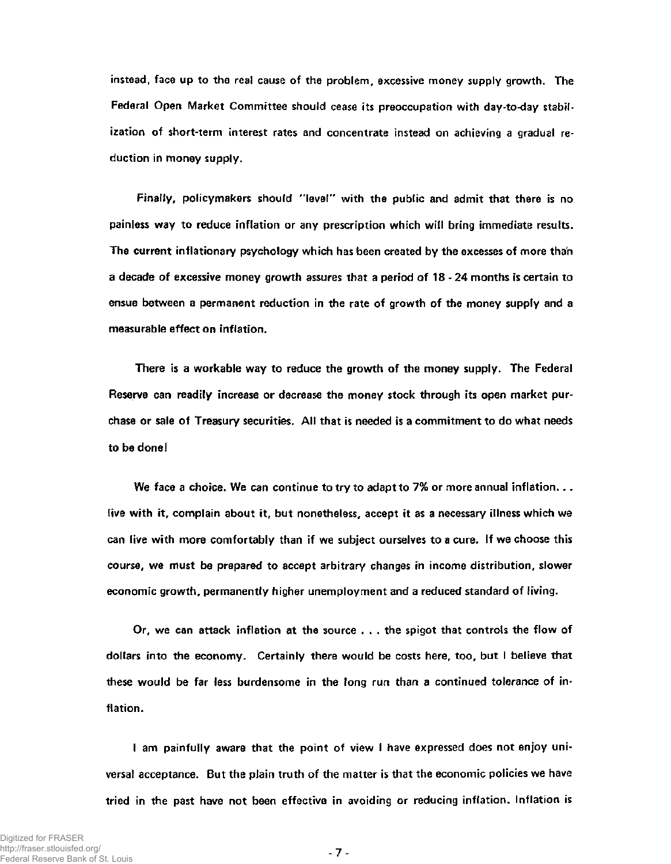**instead, face up to the real cause of the problem, excessive money supply growth. The Federal Open Market Committee should cease its preoccupation with day-to-day stabilization of short-term interest rates and concentrate instead on achieving a gradual reduction in money supply.** 

**Finally, policymakers should "level" with the public and admit that there is no painless way to reduce inflation or any prescription which will bring immediate results. The current inflationary psychology which has been created by the excesses of more than a decade of excessive money growth assures that a period of 18 - 24 months is certain to ensue between a permanent reduction in the rate of growth of the money supply and a measurable effect on inflation.** 

**There is a workable way to reduce the growth of the money supply. The Federal Reserve can readily increase or decrease the money stock through its open market purchase or sale of Treasury securities. All that is needed is a commitment to do what needs to be done!** 

**We face a choice. We can continue to try to adapt to 7% or more annual inflation.. . live with it, complain about it, but nonetheless, accept it as a necessary illness which we can live with more comfortably than if we subject ourselves to a cure. If we choose this course, we must be prepared to accept arbitrary changes in income distribution, slower economic growth, permanently higher unemployment and a reduced standard of living.** 

**Or, we can attack inflation at the source . . . the spigot that controls the flow of dollars into the economy. Certainly there would be costs here, too, but I believe that these would be far less burdensome in the long run than a continued tolerance of inflation.** 

**I am painfully aware that the point of view I have expressed does not enjoy universal acceptance. But the plain truth of the matter is that the economic policies we have tried in the past have not been effective in avoiding or reducing inflation. Inflation is** 

**- 7 -**